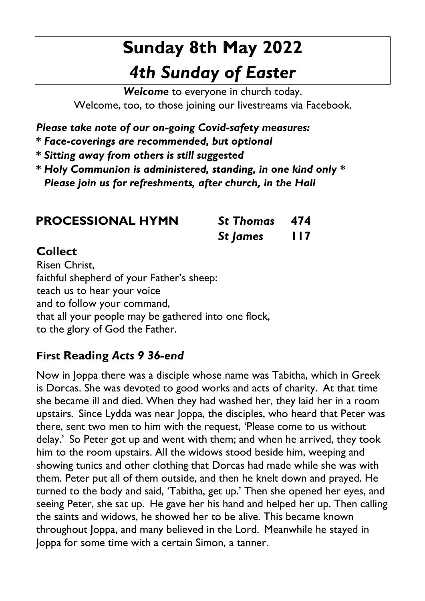# **Sunday 8th May 2022**  *4th Sunday of Easter*

*Welcome* to everyone in church today. Welcome, too, to those joining our livestreams via Facebook.

*Please take note of our on-going Covid-safety measures:* 

*\* Face-coverings are recommended, but optional* 

*\* Sitting away from others is still suggested* 

*\* Holy Communion is administered, standing, in one kind only \* Please join us for refreshments, after church, in the Hall* 

| <b>PROCESSIONAL HYMN</b> |  |
|--------------------------|--|
|--------------------------|--|

**PROCESSIONAL HYMN** *St Thomas* **474** *St James* **117**

## **Collect**

Risen Christ, faithful shepherd of your Father's sheep: teach us to hear your voice and to follow your command, that all your people may be gathered into one flock, to the glory of God the Father.

## **First Reading** *Acts 9 36-end*

Now in Joppa there was a disciple whose name was Tabitha, which in Greek is Dorcas. She was devoted to good works and acts of charity. At that time she became ill and died. When they had washed her, they laid her in a room upstairs. Since Lydda was near Joppa, the disciples, who heard that Peter was there, sent two men to him with the request, 'Please come to us without delay.' So Peter got up and went with them; and when he arrived, they took him to the room upstairs. All the widows stood beside him, weeping and showing tunics and other clothing that Dorcas had made while she was with them. Peter put all of them outside, and then he knelt down and prayed. He turned to the body and said, 'Tabitha, get up.' Then she opened her eyes, and seeing Peter, she sat up. He gave her his hand and helped her up. Then calling the saints and widows, he showed her to be alive. This became known throughout Joppa, and many believed in the Lord. Meanwhile he stayed in Joppa for some time with a certain Simon, a tanner.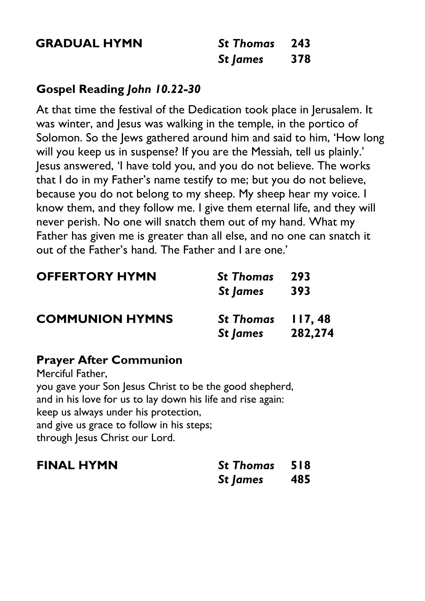**GRADUAL HYMN** 

| <b>St Thomas</b> | 243 |
|------------------|-----|
| <b>St James</b>  | 378 |

#### **Gospel Reading** *John 10.22-30*

At that time the festival of the Dedication took place in Jerusalem. It was winter, and Jesus was walking in the temple, in the portico of Solomon. So the Jews gathered around him and said to him, 'How long will you keep us in suspense? If you are the Messiah, tell us plainly.' Jesus answered, 'I have told you, and you do not believe. The works that I do in my Father's name testify to me; but you do not believe, because you do not belong to my sheep. My sheep hear my voice. I know them, and they follow me. I give them eternal life, and they will never perish. No one will snatch them out of my hand. What my Father has given me is greater than all else, and no one can snatch it out of the Father's hand. The Father and I are one.'

| <b>OFFERTORY HYMN</b>  | <b>St Thomas</b>  | -293    |
|------------------------|-------------------|---------|
|                        | St James          | 393     |
| <b>COMMUNION HYMNS</b> | St Thomas 117, 48 |         |
|                        | St James          | 282,274 |

#### **Prayer After Communion**

Merciful Father, you gave your Son Jesus Christ to be the good shepherd, and in his love for us to lay down his life and rise again: keep us always under his protection, and give us grace to follow in his steps; through Jesus Christ our Lord.

| <b>FINAL HYMN</b> | <b>St Thomas</b> 518 |  |
|-------------------|----------------------|--|
|                   | St James 485         |  |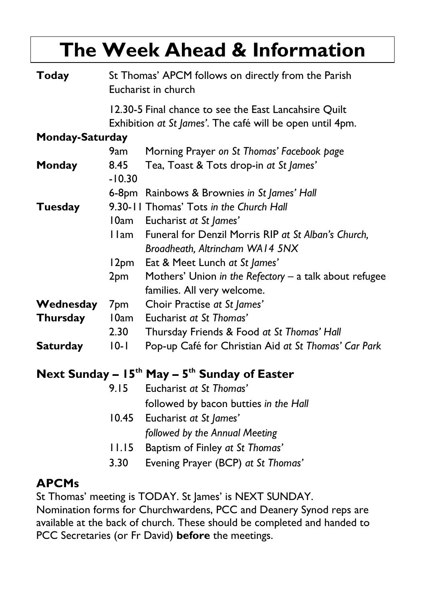# **The Week Ahead & Information**

| <b>Today</b>    | St Thomas' APCM follows on directly from the Parish<br>Eucharist in church |                                                        |  |
|-----------------|----------------------------------------------------------------------------|--------------------------------------------------------|--|
|                 |                                                                            | 12.30-5 Final chance to see the East Lancahsire Quilt  |  |
|                 | Exhibition at St James'. The café will be open until 4pm.                  |                                                        |  |
| Monday-Saturday |                                                                            |                                                        |  |
|                 | 9am                                                                        | Morning Prayer on St Thomas' Facebook page             |  |
| Monday          | 8.45                                                                       | Tea, Toast & Tots drop-in at St James'                 |  |
|                 | $-10.30$                                                                   |                                                        |  |
|                 |                                                                            | 6-8pm Rainbows & Brownies in St James' Hall            |  |
| Tuesday         |                                                                            | 9.30-11 Thomas' Tots in the Church Hall                |  |
|                 | 10am                                                                       | Eucharist at St James'                                 |  |
|                 | l Iam                                                                      | Funeral for Denzil Morris RIP at St Alban's Church,    |  |
|                 |                                                                            | Broadheath, Altrincham WA14 5NX                        |  |
|                 | 12pm                                                                       | Eat & Meet Lunch at St James'                          |  |
|                 | 2pm                                                                        | Mothers' Union in the Refectory – a talk about refugee |  |
|                 |                                                                            | families. All very welcome.                            |  |
| Wednesday       | 7pm                                                                        | Choir Practise at St James'                            |  |
| Thursday        | 10am                                                                       | Eucharist at St Thomas'                                |  |
|                 | 2.30                                                                       | Thursday Friends & Food at St Thomas' Hall             |  |
| <b>Saturday</b> | $10 - 1$                                                                   | Pop-up Café for Christian Aid at St Thomas' Car Park   |  |
|                 |                                                                            |                                                        |  |

### **Next Sunday – 15th May – 5 th Sunday of Easter**

| 9.15  | Eucharist at St Thomas'               |
|-------|---------------------------------------|
|       | followed by bacon butties in the Hall |
|       | 10.45 Eucharist at St James'          |
|       | followed by the Annual Meeting        |
| 11.15 | Baptism of Finley at St Thomas'       |
| 3.30  | Evening Prayer (BCP) at St Thomas'    |

### **APCMs**

St Thomas' meeting is TODAY. St James' is NEXT SUNDAY.

Nomination forms for Churchwardens, PCC and Deanery Synod reps are available at the back of church. These should be completed and handed to PCC Secretaries (or Fr David) **before** the meetings.